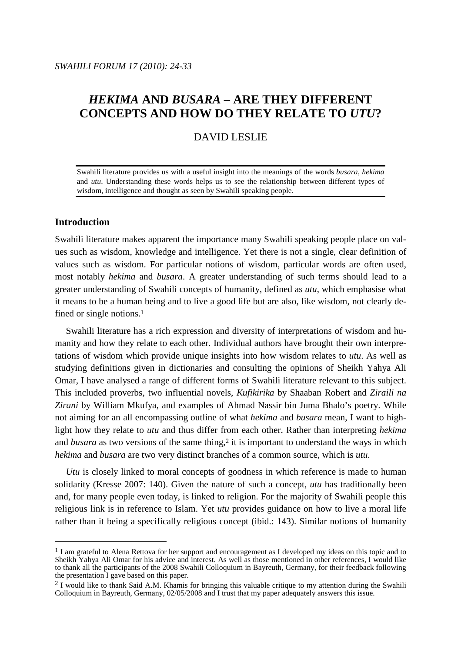# *HEKIMA* **AND** *BUSARA* **– ARE THEY DIFFERENT CONCEPTS AND HOW DO THEY RELATE TO** *UTU***?**

## DAVID LESLIE

Swahili literature provides us with a useful insight into the meanings of the words *busara*, *hekima* and *utu*. Understanding these words helps us to see the relationship between different types of wisdom, intelligence and thought as seen by Swahili speaking people.

## **Introduction**

 $\overline{a}$ 

Swahili literature makes apparent the importance many Swahili speaking people place on values such as wisdom, knowledge and intelligence. Yet there is not a single, clear definition of values such as wisdom. For particular notions of wisdom, particular words are often used, most notably *hekima* and *busara*. A greater understanding of such terms should lead to a greater understanding of Swahili concepts of humanity, defined as *utu*, which emphasise what it means to be a human being and to live a good life but are also, like wisdom, not clearly defined or single notions.<sup>1</sup>

 Swahili literature has a rich expression and diversity of interpretations of wisdom and humanity and how they relate to each other. Individual authors have brought their own interpretations of wisdom which provide unique insights into how wisdom relates to *utu*. As well as studying definitions given in dictionaries and consulting the opinions of Sheikh Yahya Ali Omar, I have analysed a range of different forms of Swahili literature relevant to this subject. This included proverbs, two influential novels, *Kufikirika* by Shaaban Robert and *Ziraili na Zirani* by William Mkufya, and examples of Ahmad Nassir bin Juma Bhalo's poetry. While not aiming for an all encompassing outline of what *hekima* and *busara* mean, I want to highlight how they relate to *utu* and thus differ from each other. Rather than interpreting *hekima* and *busara* as two versions of the same thing,<sup>2</sup> it is important to understand the ways in which *hekima* and *busara* are two very distinct branches of a common source, which is *utu*.

 *Utu* is closely linked to moral concepts of goodness in which reference is made to human solidarity (Kresse 2007: 140). Given the nature of such a concept, *utu* has traditionally been and, for many people even today, is linked to religion. For the majority of Swahili people this religious link is in reference to Islam. Yet *utu* provides guidance on how to live a moral life rather than it being a specifically religious concept (ibid.: 143). Similar notions of humanity

<sup>&</sup>lt;sup>1</sup> I am grateful to Alena Rettova for her support and encouragement as I developed my ideas on this topic and to Sheikh Yahya Ali Omar for his advice and interest. As well as those mentioned in other references, I would like to thank all the participants of the 2008 Swahili Colloquium in Bayreuth, Germany, for their feedback following the presentation I gave based on this paper.

<sup>&</sup>lt;sup>2</sup> I would like to thank Said A.M. Khamis for bringing this valuable critique to my attention during the Swahili Colloquium in Bayreuth, Germany, 02/05/2008 and I trust that my paper adequately answers this issue.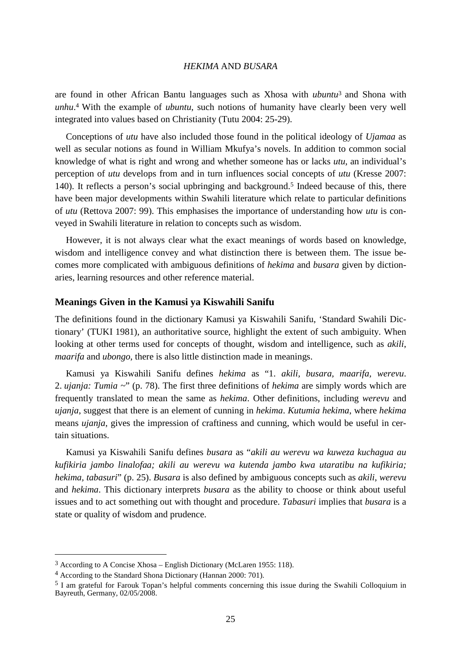are found in other African Bantu languages such as Xhosa with *ubuntu*<sup>3</sup> and Shona with *unhu*. <sup>4</sup> With the example of *ubuntu*, such notions of humanity have clearly been very well integrated into values based on Christianity (Tutu 2004: 25-29).

 Conceptions of *utu* have also included those found in the political ideology of *Ujamaa* as well as secular notions as found in William Mkufya's novels. In addition to common social knowledge of what is right and wrong and whether someone has or lacks *utu*, an individual's perception of *utu* develops from and in turn influences social concepts of *utu* (Kresse 2007: 140). It reflects a person's social upbringing and background.<sup>5</sup> Indeed because of this, there have been major developments within Swahili literature which relate to particular definitions of *utu* (Rettova 2007: 99). This emphasises the importance of understanding how *utu* is conveyed in Swahili literature in relation to concepts such as wisdom.

 However, it is not always clear what the exact meanings of words based on knowledge, wisdom and intelligence convey and what distinction there is between them. The issue becomes more complicated with ambiguous definitions of *hekima* and *busara* given by dictionaries, learning resources and other reference material.

## **Meanings Given in the Kamusi ya Kiswahili Sanifu**

The definitions found in the dictionary Kamusi ya Kiswahili Sanifu, 'Standard Swahili Dictionary' (TUKI 1981), an authoritative source, highlight the extent of such ambiguity. When looking at other terms used for concepts of thought, wisdom and intelligence, such as *akili*, *maarifa* and *ubongo*, there is also little distinction made in meanings.

Kamusi ya Kiswahili Sanifu defines *hekima* as "1. *akili, busara, maarifa, werevu*. 2. *ujanja: Tumia ~*" (p. 78). The first three definitions of *hekima* are simply words which are frequently translated to mean the same as *hekima*. Other definitions, including *werevu* and *ujanja*, suggest that there is an element of cunning in *hekima*. *Kutumia hekima*, where *hekima* means *ujanja*, gives the impression of craftiness and cunning, which would be useful in certain situations.

Kamusi ya Kiswahili Sanifu defines *busara* as "*akili au werevu wa kuweza kuchagua au kufikiria jambo linalofaa; akili au werevu wa kutenda jambo kwa utaratibu na kufikiria; hekima, tabasuri*" (p. 25). *Busara* is also defined by ambiguous concepts such as *akili*, *werevu* and *hekima*. This dictionary interprets *busara* as the ability to choose or think about useful issues and to act something out with thought and procedure. *Tabasuri* implies that *busara* is a state or quality of wisdom and prudence.

<sup>3</sup> According to A Concise Xhosa – English Dictionary (McLaren 1955: 118).

<sup>4</sup> According to the Standard Shona Dictionary (Hannan 2000: 701).

<sup>5</sup> I am grateful for Farouk Topan's helpful comments concerning this issue during the Swahili Colloquium in Bayreuth, Germany, 02/05/2008.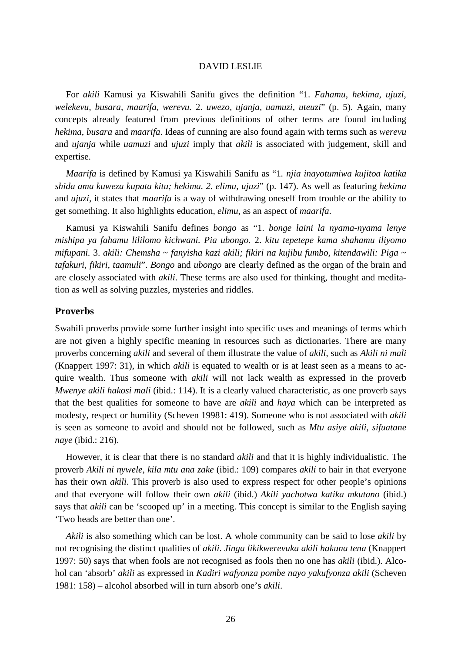For *akili* Kamusi ya Kiswahili Sanifu gives the definition "1. *Fahamu, hekima, ujuzi, welekevu, busara, maarifa, werevu.* 2. *uwezo, ujanja, uamuzi, uteuzi*" (p. 5). Again, many concepts already featured from previous definitions of other terms are found including *hekima*, *busara* and *maarifa*. Ideas of cunning are also found again with terms such as *werevu* and *ujanja* while *uamuzi* and *ujuzi* imply that *akili* is associated with judgement, skill and expertise.

 *Maarifa* is defined by Kamusi ya Kiswahili Sanifu as "1*. njia inayotumiwa kujitoa katika shida ama kuweza kupata kitu; hekima. 2. elimu, ujuzi*" (p. 147). As well as featuring *hekima* and *ujuzi*, it states that *maarifa* is a way of withdrawing oneself from trouble or the ability to get something. It also highlights education, *elimu*, as an aspect of *maarifa*.

Kamusi ya Kiswahili Sanifu defines *bongo* as "1. *bonge laini la nyama-nyama lenye mishipa ya fahamu lililomo kichwani. Pia ubongo.* 2. *kitu tepetepe kama shahamu iliyomo mifupani.* 3. *akili: Chemsha* ~ *fanyisha kazi akili; fikiri na kujibu fumbo, kitendawili: Piga* ~ *tafakuri, fikiri, taamuli*". *Bongo* and *ubongo* are clearly defined as the organ of the brain and are closely associated with *akili*. These terms are also used for thinking, thought and meditation as well as solving puzzles, mysteries and riddles.

## **Proverbs**

Swahili proverbs provide some further insight into specific uses and meanings of terms which are not given a highly specific meaning in resources such as dictionaries. There are many proverbs concerning *akili* and several of them illustrate the value of *akili*, such as *Akili ni mali*  (Knappert 1997: 31), in which *akili* is equated to wealth or is at least seen as a means to acquire wealth. Thus someone with *akili* will not lack wealth as expressed in the proverb *Mwenye akili hakosi mali* (ibid.: 114). It is a clearly valued characteristic, as one proverb says that the best qualities for someone to have are *akili* and *haya* which can be interpreted as modesty, respect or humility (Scheven 19981: 419). Someone who is not associated with *akili* is seen as someone to avoid and should not be followed, such as *Mtu asiye akili, sifuatane naye* (ibid.: 216).

 However, it is clear that there is no standard *akili* and that it is highly individualistic. The proverb *Akili ni nywele, kila mtu ana zake* (ibid.: 109) compares *akili* to hair in that everyone has their own *akili*. This proverb is also used to express respect for other people's opinions and that everyone will follow their own *akili* (ibid.) *Akili yachotwa katika mkutano* (ibid.) says that *akili* can be 'scooped up' in a meeting. This concept is similar to the English saying 'Two heads are better than one'.

 *Akili* is also something which can be lost. A whole community can be said to lose *akili* by not recognising the distinct qualities of *akili*. *Jinga likikwerevuka akili hakuna tena* (Knappert 1997: 50) says that when fools are not recognised as fools then no one has *akili* (ibid.). Alcohol can 'absorb' *akili* as expressed in *Kadiri wafyonza pombe nayo yakufyonza akili* (Scheven 1981: 158) – alcohol absorbed will in turn absorb one's *akili*.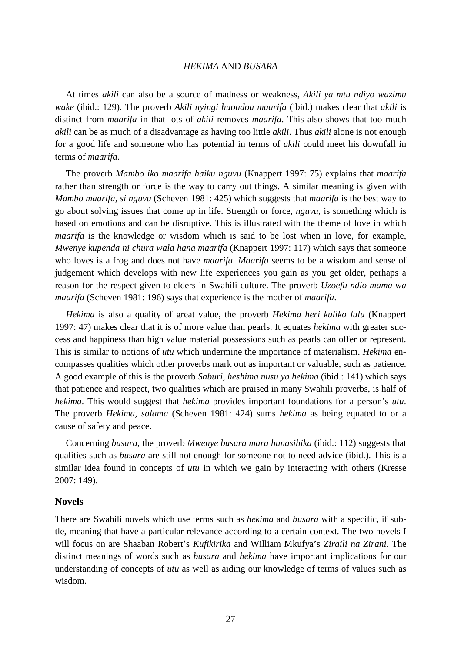At times *akili* can also be a source of madness or weakness, *Akili ya mtu ndiyo wazimu wake* (ibid.: 129). The proverb *Akili nyingi huondoa maarifa* (ibid.) makes clear that *akili* is distinct from *maarifa* in that lots of *akili* removes *maarifa*. This also shows that too much *akili* can be as much of a disadvantage as having too little *akili*. Thus *akili* alone is not enough for a good life and someone who has potential in terms of *akili* could meet his downfall in terms of *maarifa*.

 The proverb *Mambo iko maarifa haiku nguvu* (Knappert 1997: 75) explains that *maarifa* rather than strength or force is the way to carry out things. A similar meaning is given with *Mambo maarifa, si nguvu* (Scheven 1981: 425) which suggests that *maarifa* is the best way to go about solving issues that come up in life. Strength or force, *nguvu*, is something which is based on emotions and can be disruptive. This is illustrated with the theme of love in which *maarifa* is the knowledge or wisdom which is said to be lost when in love, for example, *Mwenye kupenda ni chura wala hana maarifa* (Knappert 1997: 117) which says that someone who loves is a frog and does not have *maarifa*. *Maarifa* seems to be a wisdom and sense of judgement which develops with new life experiences you gain as you get older, perhaps a reason for the respect given to elders in Swahili culture. The proverb *Uzoefu ndio mama wa maarifa* (Scheven 1981: 196) says that experience is the mother of *maarifa*.

 *Hekima* is also a quality of great value, the proverb *Hekima heri kuliko lulu* (Knappert 1997: 47) makes clear that it is of more value than pearls. It equates *hekima* with greater success and happiness than high value material possessions such as pearls can offer or represent. This is similar to notions of *utu* which undermine the importance of materialism. *Hekima* encompasses qualities which other proverbs mark out as important or valuable, such as patience. A good example of this is the proverb *Saburi, heshima nusu ya hekima* (ibid.: 141) which says that patience and respect, two qualities which are praised in many Swahili proverbs, is half of *hekima*. This would suggest that *hekima* provides important foundations for a person's *utu*. The proverb *Hekima, salama* (Scheven 1981: 424) sums *hekima* as being equated to or a cause of safety and peace.

 Concerning *busara*, the proverb *Mwenye busara mara hunasihika* (ibid.: 112) suggests that qualities such as *busara* are still not enough for someone not to need advice (ibid.). This is a similar idea found in concepts of *utu* in which we gain by interacting with others (Kresse 2007: 149).

#### **Novels**

There are Swahili novels which use terms such as *hekima* and *busara* with a specific, if subtle, meaning that have a particular relevance according to a certain context. The two novels I will focus on are Shaaban Robert's *Kufikirika* and William Mkufya's *Ziraili na Zirani*. The distinct meanings of words such as *busara* and *hekima* have important implications for our understanding of concepts of *utu* as well as aiding our knowledge of terms of values such as wisdom.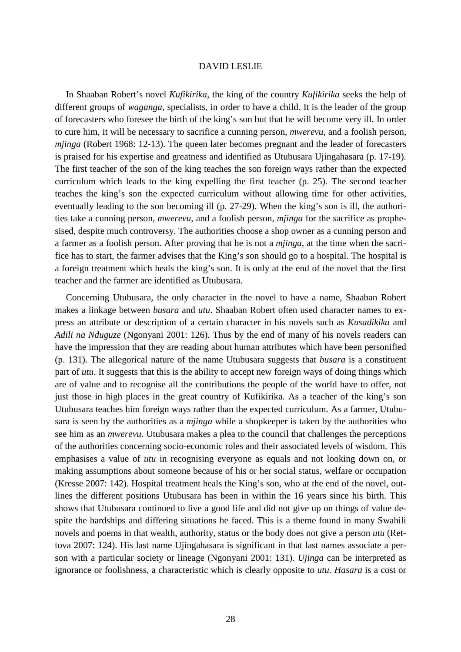In Shaaban Robert's novel *Kufikirika*, the king of the country *Kufikirika* seeks the help of different groups of *waganga*, specialists, in order to have a child. It is the leader of the group of forecasters who foresee the birth of the king's son but that he will become very ill. In order to cure him, it will be necessary to sacrifice a cunning person, *mwerevu*, and a foolish person, *mjinga* (Robert 1968: 12-13). The queen later becomes pregnant and the leader of forecasters is praised for his expertise and greatness and identified as Utubusara Ujingahasara (p. 17-19). The first teacher of the son of the king teaches the son foreign ways rather than the expected curriculum which leads to the king expelling the first teacher (p. 25). The second teacher teaches the king's son the expected curriculum without allowing time for other activities, eventually leading to the son becoming ill (p. 27-29). When the king's son is ill, the authorities take a cunning person, *mwerevu*, and a foolish person, *mjinga* for the sacrifice as prophesised, despite much controversy. The authorities choose a shop owner as a cunning person and a farmer as a foolish person. After proving that he is not a *mjinga*, at the time when the sacrifice has to start, the farmer advises that the King's son should go to a hospital. The hospital is a foreign treatment which heals the king's son. It is only at the end of the novel that the first teacher and the farmer are identified as Utubusara.

 Concerning Utubusara, the only character in the novel to have a name, Shaaban Robert makes a linkage between *busara* and *utu*. Shaaban Robert often used character names to express an attribute or description of a certain character in his novels such as *Kusadikika* and *Adili na Nduguze* (Ngonyani 2001: 126). Thus by the end of many of his novels readers can have the impression that they are reading about human attributes which have been personified (p. 131). The allegorical nature of the name Utubusara suggests that *busara* is a constituent part of *utu*. It suggests that this is the ability to accept new foreign ways of doing things which are of value and to recognise all the contributions the people of the world have to offer, not just those in high places in the great country of Kufikirika. As a teacher of the king's son Utubusara teaches him foreign ways rather than the expected curriculum. As a farmer, Utubusara is seen by the authorities as a *mjinga* while a shopkeeper is taken by the authorities who see him as an *mwerevu*. Utubusara makes a plea to the council that challenges the perceptions of the authorities concerning socio-economic roles and their associated levels of wisdom. This emphasises a value of *utu* in recognising everyone as equals and not looking down on, or making assumptions about someone because of his or her social status, welfare or occupation (Kresse 2007: 142). Hospital treatment heals the King's son, who at the end of the novel, outlines the different positions Utubusara has been in within the 16 years since his birth. This shows that Utubusara continued to live a good life and did not give up on things of value despite the hardships and differing situations he faced. This is a theme found in many Swahili novels and poems in that wealth, authority, status or the body does not give a person *utu* (Rettova 2007: 124). His last name Ujingahasara is significant in that last names associate a person with a particular society or lineage (Ngonyani 2001: 131). *Ujinga* can be interpreted as ignorance or foolishness, a characteristic which is clearly opposite to *utu*. *Hasara* is a cost or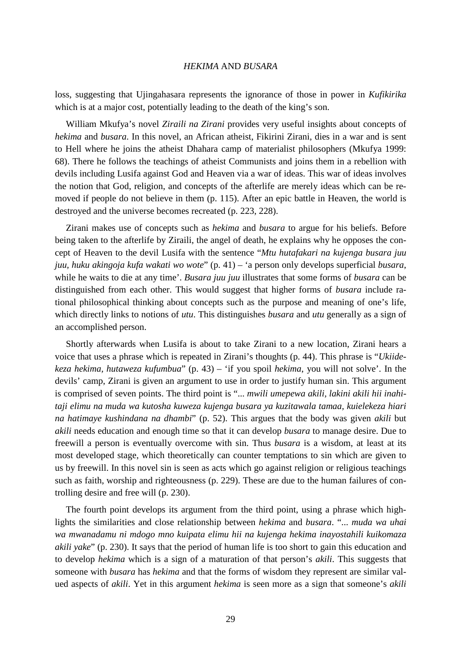loss, suggesting that Ujingahasara represents the ignorance of those in power in *Kufikirika* which is at a major cost, potentially leading to the death of the king's son.

 William Mkufya's novel *Ziraili na Zirani* provides very useful insights about concepts of *hekima* and *busara*. In this novel, an African atheist, Fikirini Zirani, dies in a war and is sent to Hell where he joins the atheist Dhahara camp of materialist philosophers (Mkufya 1999: 68). There he follows the teachings of atheist Communists and joins them in a rebellion with devils including Lusifa against God and Heaven via a war of ideas. This war of ideas involves the notion that God, religion, and concepts of the afterlife are merely ideas which can be removed if people do not believe in them (p. 115). After an epic battle in Heaven, the world is destroyed and the universe becomes recreated (p. 223, 228).

 Zirani makes use of concepts such as *hekima* and *busara* to argue for his beliefs. Before being taken to the afterlife by Ziraili, the angel of death, he explains why he opposes the concept of Heaven to the devil Lusifa with the sentence "*Mtu hutafakari na kujenga busara juu juu, huku akingoja kufa wakati wo wote*" (p. 41) – 'a person only develops superficial *busara*, while he waits to die at any time'. *Busara juu juu* illustrates that some forms of *busara* can be distinguished from each other. This would suggest that higher forms of *busara* include rational philosophical thinking about concepts such as the purpose and meaning of one's life, which directly links to notions of *utu*. This distinguishes *busara* and *utu* generally as a sign of an accomplished person.

 Shortly afterwards when Lusifa is about to take Zirani to a new location, Zirani hears a voice that uses a phrase which is repeated in Zirani's thoughts (p. 44). This phrase is "*Ukiidekeza hekima, hutaweza kufumbua*" (p. 43) – 'if you spoil *hekima*, you will not solve'. In the devils' camp, Zirani is given an argument to use in order to justify human sin. This argument is comprised of seven points. The third point is "... *mwili umepewa akili, lakini akili hii inahitaji elimu na muda wa kutosha kuweza kujenga busara ya kuzitawala tamaa, kuielekeza hiari na hatimaye kushindana na dhambi*" (p. 52). This argues that the body was given *akili* but *akili* needs education and enough time so that it can develop *busara* to manage desire. Due to freewill a person is eventually overcome with sin. Thus *busara* is a wisdom, at least at its most developed stage, which theoretically can counter temptations to sin which are given to us by freewill. In this novel sin is seen as acts which go against religion or religious teachings such as faith, worship and righteousness (p. 229). These are due to the human failures of controlling desire and free will (p. 230).

 The fourth point develops its argument from the third point, using a phrase which highlights the similarities and close relationship between *hekima* and *busara*. "... *muda wa uhai wa mwanadamu ni mdogo mno kuipata elimu hii na kujenga hekima inayostahili kuikomaza akili yake*" (p. 230). It says that the period of human life is too short to gain this education and to develop *hekima* which is a sign of a maturation of that person's *akili*. This suggests that someone with *busara* has *hekima* and that the forms of wisdom they represent are similar valued aspects of *akili*. Yet in this argument *hekima* is seen more as a sign that someone's *akili*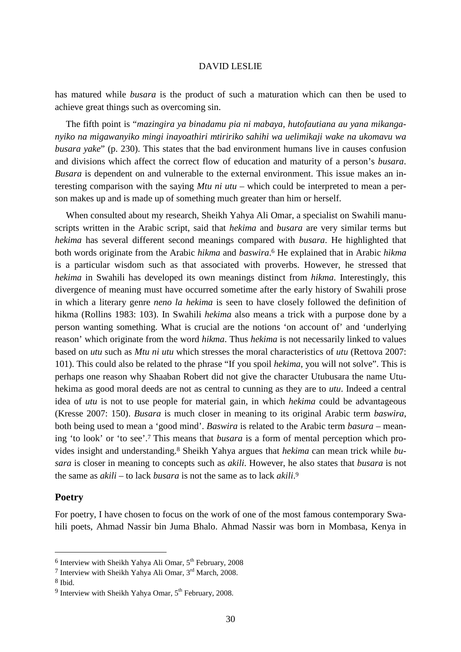has matured while *busara* is the product of such a maturation which can then be used to achieve great things such as overcoming sin.

 The fifth point is "*mazingira ya binadamu pia ni mabaya, hutofautiana au yana mikanganyiko na migawanyiko mingi inayoathiri mtiririko sahihi wa uelimikaji wake na ukomavu wa busara yake*" (p. 230). This states that the bad environment humans live in causes confusion and divisions which affect the correct flow of education and maturity of a person's *busara*. *Busara* is dependent on and vulnerable to the external environment. This issue makes an interesting comparison with the saying *Mtu ni utu* – which could be interpreted to mean a person makes up and is made up of something much greater than him or herself.

 When consulted about my research, Sheikh Yahya Ali Omar, a specialist on Swahili manuscripts written in the Arabic script, said that *hekima* and *busara* are very similar terms but *hekima* has several different second meanings compared with *busara*. He highlighted that both words originate from the Arabic *hikma* and *baswira*. <sup>6</sup> He explained that in Arabic *hikma* is a particular wisdom such as that associated with proverbs. However, he stressed that *hekima* in Swahili has developed its own meanings distinct from *hikma*. Interestingly, this divergence of meaning must have occurred sometime after the early history of Swahili prose in which a literary genre *neno la hekima* is seen to have closely followed the definition of hikma (Rollins 1983: 103). In Swahili *hekima* also means a trick with a purpose done by a person wanting something. What is crucial are the notions 'on account of' and 'underlying reason' which originate from the word *hikma*. Thus *hekima* is not necessarily linked to values based on *utu* such as *Mtu ni utu* which stresses the moral characteristics of *utu* (Rettova 2007: 101). This could also be related to the phrase "If you spoil *hekima*, you will not solve". This is perhaps one reason why Shaaban Robert did not give the character Utubusara the name Utuhekima as good moral deeds are not as central to cunning as they are to *utu*. Indeed a central idea of *utu* is not to use people for material gain, in which *hekima* could be advantageous (Kresse 2007: 150). *Busara* is much closer in meaning to its original Arabic term *baswira*, both being used to mean a 'good mind'. *Baswira* is related to the Arabic term *basura* – meaning 'to look' or 'to see'.<sup>7</sup> This means that *busara* is a form of mental perception which provides insight and understanding.8 Sheikh Yahya argues that *hekima* can mean trick while *busara* is closer in meaning to concepts such as *akili*. However, he also states that *busara* is not the same as *akili* – to lack *busara* is not the same as to lack *akili*. 9

## **Poetry**

For poetry, I have chosen to focus on the work of one of the most famous contemporary Swahili poets, Ahmad Nassir bin Juma Bhalo. Ahmad Nassir was born in Mombasa, Kenya in

 $6$  Interview with Sheikh Yahya Ali Omar,  $5<sup>th</sup>$  February, 2008

<sup>7</sup> Interview with Sheikh Yahya Ali Omar, 3rd March, 2008.

<sup>8</sup> Ibid.

 $9$  Interview with Sheikh Yahya Omar,  $5<sup>th</sup>$  February, 2008.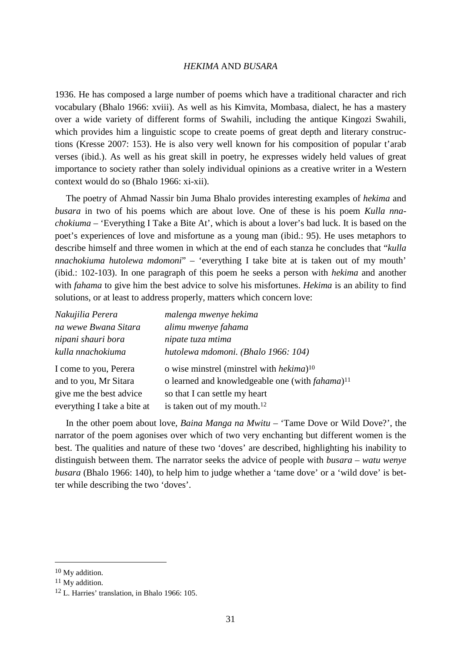1936. He has composed a large number of poems which have a traditional character and rich vocabulary (Bhalo 1966: xviii). As well as his Kimvita, Mombasa, dialect, he has a mastery over a wide variety of different forms of Swahili, including the antique Kingozi Swahili, which provides him a linguistic scope to create poems of great depth and literary constructions (Kresse 2007: 153). He is also very well known for his composition of popular t'arab verses (ibid.). As well as his great skill in poetry, he expresses widely held values of great importance to society rather than solely individual opinions as a creative writer in a Western context would do so (Bhalo 1966: xi-xii).

 The poetry of Ahmad Nassir bin Juma Bhalo provides interesting examples of *hekima* and *busara* in two of his poems which are about love. One of these is his poem *Kulla nnachokiuma* – 'Everything I Take a Bite At', which is about a lover's bad luck. It is based on the poet's experiences of love and misfortune as a young man (ibid.: 95). He uses metaphors to describe himself and three women in which at the end of each stanza he concludes that "*kulla nnachokiuma hutolewa mdomoni*" – 'everything I take bite at is taken out of my mouth' (ibid.: 102-103). In one paragraph of this poem he seeks a person with *hekima* and another with *fahama* to give him the best advice to solve his misfortunes. *Hekima* is an ability to find solutions, or at least to address properly, matters which concern love:

| Nakujilia Perera            | malenga mwenye hekima                                        |
|-----------------------------|--------------------------------------------------------------|
| na wewe Bwana Sitara        | alimu mwenye fahama                                          |
| nipani shauri bora          | nipate tuza mtima                                            |
| kulla nnachokiuma           | hutolewa mdomoni. (Bhalo 1966: 104)                          |
| I come to you, Perera       | o wise minstrel (minstrel with <i>hekima</i> ) <sup>10</sup> |
| and to you, Mr Sitara       | o learned and knowledgeable one (with fahama) <sup>11</sup>  |
| give me the best advice     | so that I can settle my heart                                |
| everything I take a bite at | is taken out of my mouth. <sup>12</sup>                      |

 In the other poem about love, *Baina Manga na Mwitu* – 'Tame Dove or Wild Dove?', the narrator of the poem agonises over which of two very enchanting but different women is the best. The qualities and nature of these two 'doves' are described, highlighting his inability to distinguish between them. The narrator seeks the advice of people with *busara* – *watu wenye busara* (Bhalo 1966: 140), to help him to judge whether a 'tame dove' or a 'wild dove' is better while describing the two 'doves'.

<sup>10</sup> My addition.

<sup>11</sup> My addition.

<sup>12</sup> L. Harries' translation, in Bhalo 1966: 105.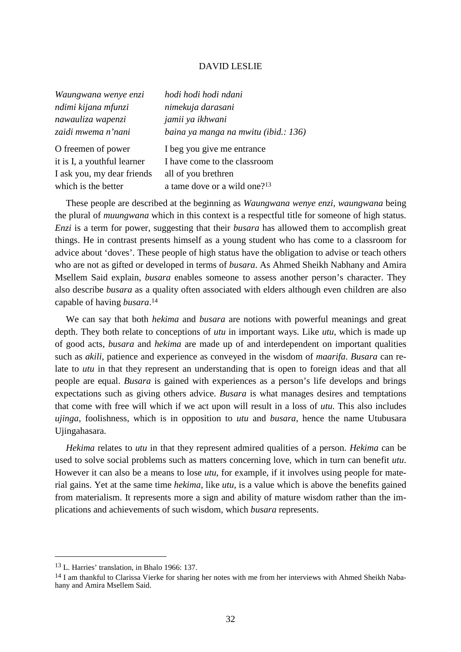| Waungwana wenye enzi        | hodi hodi hodi ndani                     |
|-----------------------------|------------------------------------------|
| ndimi kijana mfunzi         | nimekuja darasani                        |
| nawauliza wapenzi           | jamii ya ikhwani                         |
| zaidi mwema n'nani          | baina ya manga na mwitu (ibid.: 136)     |
| O freemen of power          | I beg you give me entrance               |
| it is I, a youthful learner | I have come to the classroom             |
| I ask you, my dear friends  | all of you brethren                      |
| which is the better         | a tame dove or a wild one? <sup>13</sup> |

 These people are described at the beginning as *Waungwana wenye enzi*, *waungwana* being the plural of *muungwana* which in this context is a respectful title for someone of high status. *Enzi* is a term for power, suggesting that their *busara* has allowed them to accomplish great things. He in contrast presents himself as a young student who has come to a classroom for advice about 'doves'. These people of high status have the obligation to advise or teach others who are not as gifted or developed in terms of *busara*. As Ahmed Sheikh Nabhany and Amira Msellem Said explain, *busara* enables someone to assess another person's character. They also describe *busara* as a quality often associated with elders although even children are also capable of having *busara*. 14

 We can say that both *hekima* and *busara* are notions with powerful meanings and great depth. They both relate to conceptions of *utu* in important ways. Like *utu*, which is made up of good acts, *busara* and *hekima* are made up of and interdependent on important qualities such as *akili*, patience and experience as conveyed in the wisdom of *maarifa*. *Busara* can relate to *utu* in that they represent an understanding that is open to foreign ideas and that all people are equal. *Busara* is gained with experiences as a person's life develops and brings expectations such as giving others advice. *Busara* is what manages desires and temptations that come with free will which if we act upon will result in a loss of *utu*. This also includes *ujinga*, foolishness, which is in opposition to *utu* and *busara*, hence the name Utubusara Ujingahasara.

 *Hekima* relates to *utu* in that they represent admired qualities of a person. *Hekima* can be used to solve social problems such as matters concerning love, which in turn can benefit *utu*. However it can also be a means to lose *utu*, for example, if it involves using people for material gains. Yet at the same time *hekima*, like *utu*, is a value which is above the benefits gained from materialism. It represents more a sign and ability of mature wisdom rather than the implications and achievements of such wisdom, which *busara* represents.

<sup>13</sup> L. Harries' translation, in Bhalo 1966: 137.

<sup>&</sup>lt;sup>14</sup> I am thankful to Clarissa Vierke for sharing her notes with me from her interviews with Ahmed Sheikh Nabahany and Amira Msellem Said.